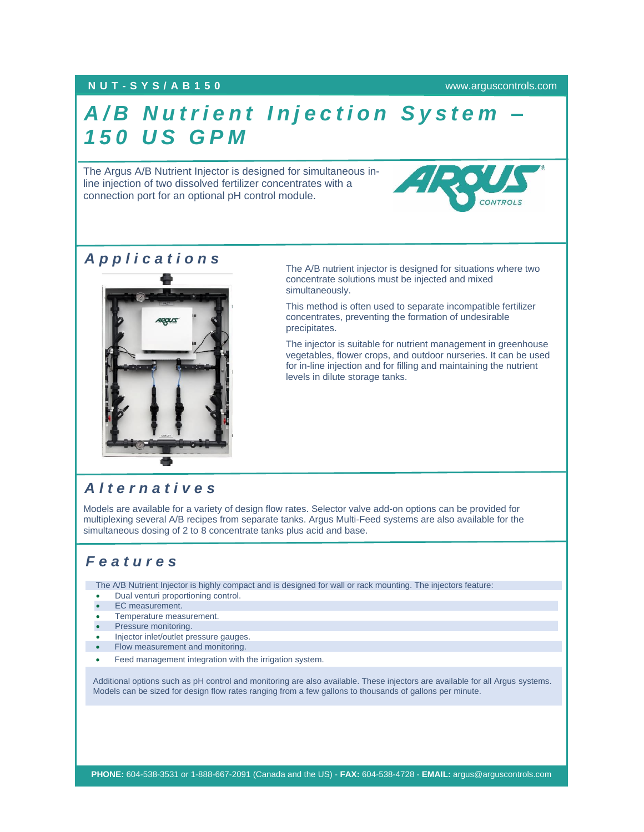#### **NUT - S Y S / A B 1 5 0** [www.arguscontrols.com](file:///C:/Users/afermon/AppData/Local/Microsoft/Windows/INetCache/Content.Outlook/M660HEMV/www.arguscontrols.com)

# **A/B Nutrient Injection System** *1 5 0 U S G P M*

The Argus A/B Nutrient Injector is designed for simultaneous inline injection of two dissolved fertilizer concentrates with a connection port for an optional pH control module.



*A p p l i c a t i o n s*



The A/B nutrient injector is designed for situations where two concentrate solutions must be injected and mixed simultaneously.

This method is often used to separate incompatible fertilizer concentrates, preventing the formation of undesirable precipitates.

The injector is suitable for nutrient management in greenhouse vegetables, flower crops, and outdoor nurseries. It can be used for in-line injection and for filling and maintaining the nutrient levels in dilute storage tanks.

### *A l t e r n a t i v e s*

Models are available for a variety of design flow rates. Selector valve add-on options can be provided for multiplexing several A/B recipes from separate tanks. Argus Multi-Feed systems are also available for the simultaneous dosing of 2 to 8 concentrate tanks plus acid and base.

### *F e a t u r e s*

The A/B Nutrient Injector is highly compact and is designed for wall or rack mounting. The injectors feature:

- Dual venturi proportioning control.
- EC measurement.
- Temperature measurement.
- Pressure monitoring.
- Injector inlet/outlet pressure gauges.
- Flow measurement and monitoring.
- Feed management integration with the irrigation system.

Additional options such as pH control and monitoring are also available. These injectors are available for all Argus systems. Models can be sized for design flow rates ranging from a few gallons to thousands of gallons per minute.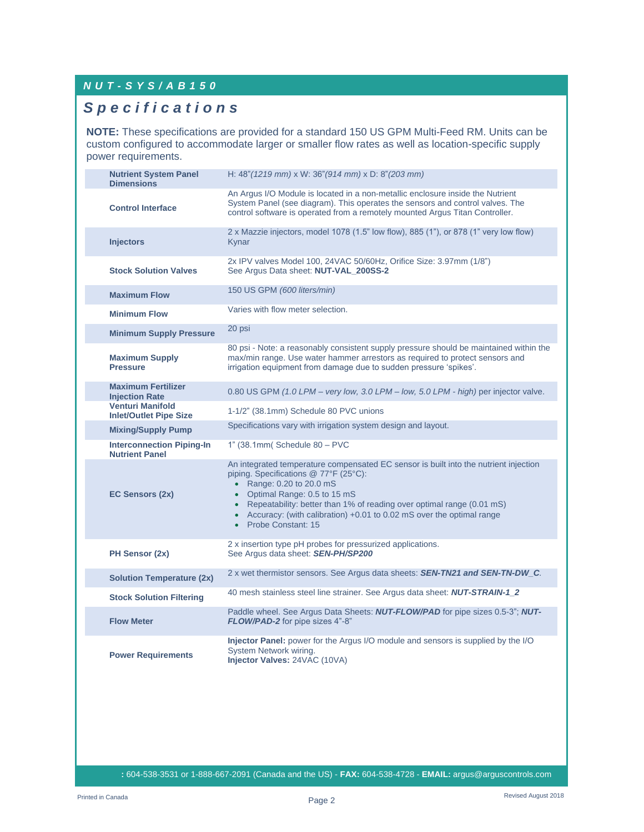#### *N U T - S Y S / A B 1 5 0*

## *S p e c i f i c a t i o n s*

**NOTE:** These specifications are provided for a standard 150 US GPM Multi-Feed RM. Units can be custom configured to accommodate larger or smaller flow rates as well as location-specific supply power requirements.

| <b>Nutrient System Panel</b><br><b>Dimensions</b>         | H: 48" (1219 mm) x W: 36" (914 mm) x D: 8" (203 mm)                                                                                                                                                                                                                                                                                                                     |
|-----------------------------------------------------------|-------------------------------------------------------------------------------------------------------------------------------------------------------------------------------------------------------------------------------------------------------------------------------------------------------------------------------------------------------------------------|
| <b>Control Interface</b>                                  | An Argus I/O Module is located in a non-metallic enclosure inside the Nutrient<br>System Panel (see diagram). This operates the sensors and control valves. The<br>control software is operated from a remotely mounted Argus Titan Controller.                                                                                                                         |
| <b>Injectors</b>                                          | 2 x Mazzie injectors, model 1078 (1.5" low flow), 885 (1"), or 878 (1" very low flow)<br>Kynar                                                                                                                                                                                                                                                                          |
| <b>Stock Solution Valves</b>                              | 2x IPV valves Model 100, 24VAC 50/60Hz, Orifice Size: 3.97mm (1/8")<br>See Argus Data sheet: NUT-VAL_200SS-2                                                                                                                                                                                                                                                            |
| <b>Maximum Flow</b>                                       | 150 US GPM (600 liters/min)                                                                                                                                                                                                                                                                                                                                             |
| <b>Minimum Flow</b>                                       | Varies with flow meter selection.                                                                                                                                                                                                                                                                                                                                       |
| <b>Minimum Supply Pressure</b>                            | 20 psi                                                                                                                                                                                                                                                                                                                                                                  |
| <b>Maximum Supply</b><br><b>Pressure</b>                  | 80 psi - Note: a reasonably consistent supply pressure should be maintained within the<br>max/min range. Use water hammer arrestors as required to protect sensors and<br>irrigation equipment from damage due to sudden pressure 'spikes'.                                                                                                                             |
| <b>Maximum Fertilizer</b><br><b>Injection Rate</b>        | 0.80 US GPM (1.0 LPM – very low, 3.0 LPM – low, 5.0 LPM - high) per injector valve.                                                                                                                                                                                                                                                                                     |
| <b>Venturi Manifold</b><br><b>Inlet/Outlet Pipe Size</b>  | 1-1/2" (38.1mm) Schedule 80 PVC unions                                                                                                                                                                                                                                                                                                                                  |
| <b>Mixing/Supply Pump</b>                                 | Specifications vary with irrigation system design and layout.                                                                                                                                                                                                                                                                                                           |
| <b>Interconnection Piping-In</b><br><b>Nutrient Panel</b> | 1" (38.1mm Schedule 80 - PVC                                                                                                                                                                                                                                                                                                                                            |
| EC Sensors (2x)                                           | An integrated temperature compensated EC sensor is built into the nutrient injection<br>piping. Specifications @ 77°F (25°C):<br>• Range: 0.20 to 20.0 mS<br>• Optimal Range: 0.5 to 15 mS<br>• Repeatability: better than 1% of reading over optimal range (0.01 mS)<br>• Accuracy: (with calibration) +0.01 to 0.02 mS over the optimal range<br>• Probe Constant: 15 |
| PH Sensor (2x)                                            | 2 x insertion type pH probes for pressurized applications.<br>See Argus data sheet: SEN-PH/SP200                                                                                                                                                                                                                                                                        |
| <b>Solution Temperature (2x)</b>                          | 2 x wet thermistor sensors. See Argus data sheets: <b>SEN-TN21 and SEN-TN-DW_C</b> .                                                                                                                                                                                                                                                                                    |
| <b>Stock Solution Filtering</b>                           | 40 mesh stainless steel line strainer. See Argus data sheet: <b>NUT-STRAIN-1_2</b>                                                                                                                                                                                                                                                                                      |
| <b>Flow Meter</b>                                         | Paddle wheel. See Argus Data Sheets: NUT-FLOW/PAD for pipe sizes 0.5-3"; NUT-<br>FLOW/PAD-2 for pipe sizes 4"-8"                                                                                                                                                                                                                                                        |
| <b>Power Requirements</b>                                 | Injector Panel: power for the Argus I/O module and sensors is supplied by the I/O<br>System Network wiring.<br>Injector Valves: 24VAC (10VA)                                                                                                                                                                                                                            |

**PHONE:** 604-538-3531 or 1-888-667-2091 (Canada and the US) - **FAX:** 604-538-4728 - **EMAIL:** argus@arguscontrols.com